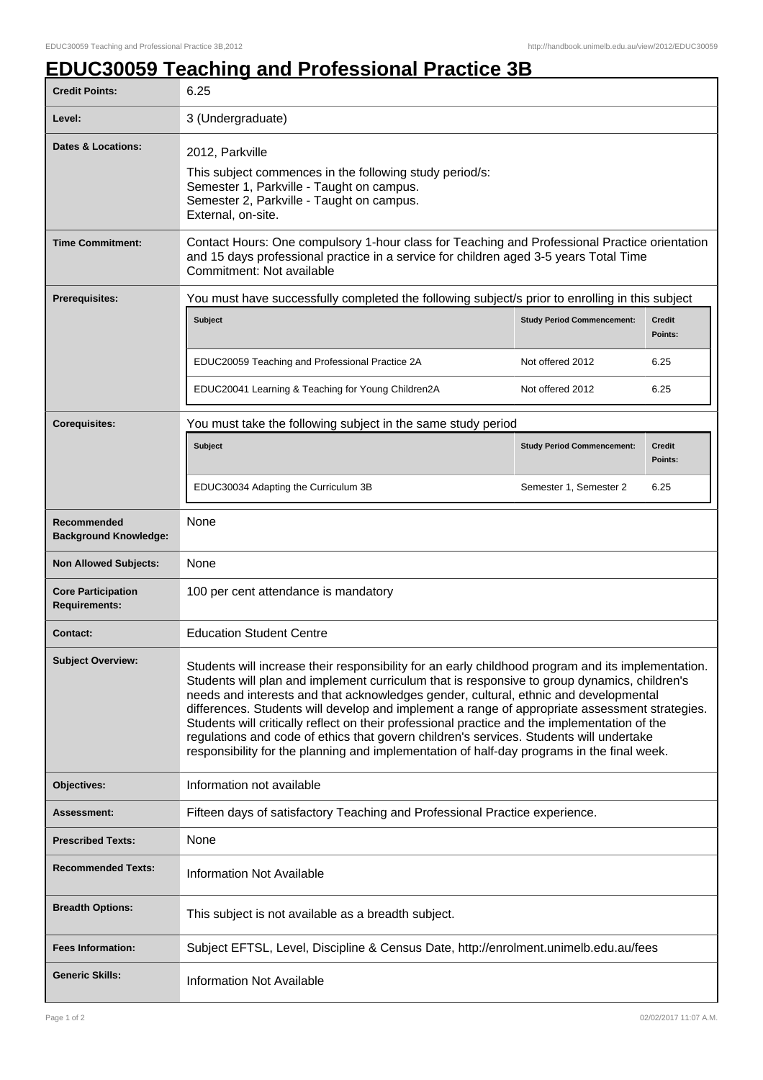## **EDUC30059 Teaching and Professional Practice 3B**

| <b>Credit Points:</b>                             | 6.25                                                                                                                                                                                                                                                                                                                                                                                                                                                                                                                                                                                                                                                                                   |                                   |                          |
|---------------------------------------------------|----------------------------------------------------------------------------------------------------------------------------------------------------------------------------------------------------------------------------------------------------------------------------------------------------------------------------------------------------------------------------------------------------------------------------------------------------------------------------------------------------------------------------------------------------------------------------------------------------------------------------------------------------------------------------------------|-----------------------------------|--------------------------|
| Level:                                            | 3 (Undergraduate)                                                                                                                                                                                                                                                                                                                                                                                                                                                                                                                                                                                                                                                                      |                                   |                          |
| Dates & Locations:                                | 2012, Parkville<br>This subject commences in the following study period/s:<br>Semester 1, Parkville - Taught on campus.<br>Semester 2, Parkville - Taught on campus.<br>External, on-site.                                                                                                                                                                                                                                                                                                                                                                                                                                                                                             |                                   |                          |
| <b>Time Commitment:</b>                           | Contact Hours: One compulsory 1-hour class for Teaching and Professional Practice orientation<br>and 15 days professional practice in a service for children aged 3-5 years Total Time<br>Commitment: Not available                                                                                                                                                                                                                                                                                                                                                                                                                                                                    |                                   |                          |
| <b>Prerequisites:</b>                             | You must have successfully completed the following subject/s prior to enrolling in this subject                                                                                                                                                                                                                                                                                                                                                                                                                                                                                                                                                                                        |                                   |                          |
|                                                   | <b>Subject</b>                                                                                                                                                                                                                                                                                                                                                                                                                                                                                                                                                                                                                                                                         | <b>Study Period Commencement:</b> | <b>Credit</b><br>Points: |
|                                                   | EDUC20059 Teaching and Professional Practice 2A                                                                                                                                                                                                                                                                                                                                                                                                                                                                                                                                                                                                                                        | Not offered 2012                  | 6.25                     |
|                                                   | EDUC20041 Learning & Teaching for Young Children2A                                                                                                                                                                                                                                                                                                                                                                                                                                                                                                                                                                                                                                     | Not offered 2012                  | 6.25                     |
| <b>Corequisites:</b>                              | You must take the following subject in the same study period                                                                                                                                                                                                                                                                                                                                                                                                                                                                                                                                                                                                                           |                                   |                          |
|                                                   | <b>Subject</b>                                                                                                                                                                                                                                                                                                                                                                                                                                                                                                                                                                                                                                                                         | <b>Study Period Commencement:</b> | <b>Credit</b><br>Points: |
|                                                   | EDUC30034 Adapting the Curriculum 3B                                                                                                                                                                                                                                                                                                                                                                                                                                                                                                                                                                                                                                                   | Semester 1, Semester 2            | 6.25                     |
| Recommended<br><b>Background Knowledge:</b>       | None                                                                                                                                                                                                                                                                                                                                                                                                                                                                                                                                                                                                                                                                                   |                                   |                          |
| <b>Non Allowed Subjects:</b>                      | None                                                                                                                                                                                                                                                                                                                                                                                                                                                                                                                                                                                                                                                                                   |                                   |                          |
| <b>Core Participation</b><br><b>Requirements:</b> | 100 per cent attendance is mandatory                                                                                                                                                                                                                                                                                                                                                                                                                                                                                                                                                                                                                                                   |                                   |                          |
| <b>Contact:</b>                                   | <b>Education Student Centre</b>                                                                                                                                                                                                                                                                                                                                                                                                                                                                                                                                                                                                                                                        |                                   |                          |
| <b>Subject Overview:</b>                          | Students will increase their responsibility for an early childhood program and its implementation.<br>Students will plan and implement curriculum that is responsive to group dynamics, children's<br>needs and interests and that acknowledges gender, cultural, ethnic and developmental<br>differences. Students will develop and implement a range of appropriate assessment strategies.<br>Students will critically reflect on their professional practice and the implementation of the<br>regulations and code of ethics that govern children's services. Students will undertake<br>responsibility for the planning and implementation of half-day programs in the final week. |                                   |                          |
| Objectives:                                       | Information not available                                                                                                                                                                                                                                                                                                                                                                                                                                                                                                                                                                                                                                                              |                                   |                          |
| Assessment:                                       | Fifteen days of satisfactory Teaching and Professional Practice experience.                                                                                                                                                                                                                                                                                                                                                                                                                                                                                                                                                                                                            |                                   |                          |
| <b>Prescribed Texts:</b>                          | None                                                                                                                                                                                                                                                                                                                                                                                                                                                                                                                                                                                                                                                                                   |                                   |                          |
| <b>Recommended Texts:</b>                         | <b>Information Not Available</b>                                                                                                                                                                                                                                                                                                                                                                                                                                                                                                                                                                                                                                                       |                                   |                          |
| <b>Breadth Options:</b>                           | This subject is not available as a breadth subject.                                                                                                                                                                                                                                                                                                                                                                                                                                                                                                                                                                                                                                    |                                   |                          |
| <b>Fees Information:</b>                          | Subject EFTSL, Level, Discipline & Census Date, http://enrolment.unimelb.edu.au/fees                                                                                                                                                                                                                                                                                                                                                                                                                                                                                                                                                                                                   |                                   |                          |
| <b>Generic Skills:</b>                            | <b>Information Not Available</b>                                                                                                                                                                                                                                                                                                                                                                                                                                                                                                                                                                                                                                                       |                                   |                          |